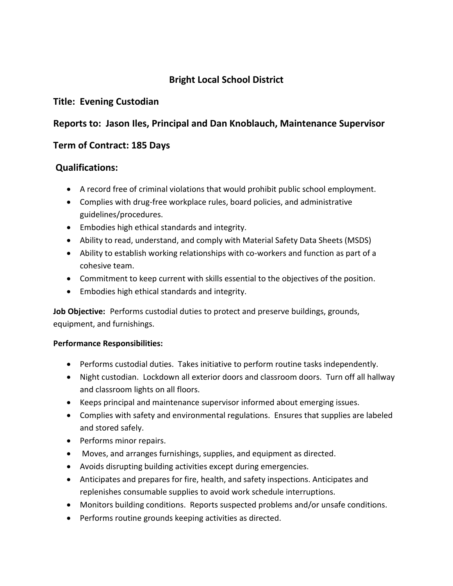# **Bright Local School District**

#### **Title: Evening Custodian**

## **Reports to: Jason Iles, Principal and Dan Knoblauch, Maintenance Supervisor**

### **Term of Contract: 185 Days**

### **Qualifications:**

- A record free of criminal violations that would prohibit public school employment.
- Complies with drug-free workplace rules, board policies, and administrative guidelines/procedures.
- Embodies high ethical standards and integrity.
- Ability to read, understand, and comply with Material Safety Data Sheets (MSDS)
- Ability to establish working relationships with co-workers and function as part of a cohesive team.
- Commitment to keep current with skills essential to the objectives of the position.
- Embodies high ethical standards and integrity.

**Job Objective:** Performs custodial duties to protect and preserve buildings, grounds, equipment, and furnishings.

#### **Performance Responsibilities:**

- Performs custodial duties. Takes initiative to perform routine tasks independently.
- Night custodian. Lockdown all exterior doors and classroom doors. Turn off all hallway and classroom lights on all floors.
- Keeps principal and maintenance supervisor informed about emerging issues.
- Complies with safety and environmental regulations. Ensures that supplies are labeled and stored safely.
- Performs minor repairs.
- Moves, and arranges furnishings, supplies, and equipment as directed.
- Avoids disrupting building activities except during emergencies.
- Anticipates and prepares for fire, health, and safety inspections. Anticipates and replenishes consumable supplies to avoid work schedule interruptions.
- Monitors building conditions. Reports suspected problems and/or unsafe conditions.
- Performs routine grounds keeping activities as directed.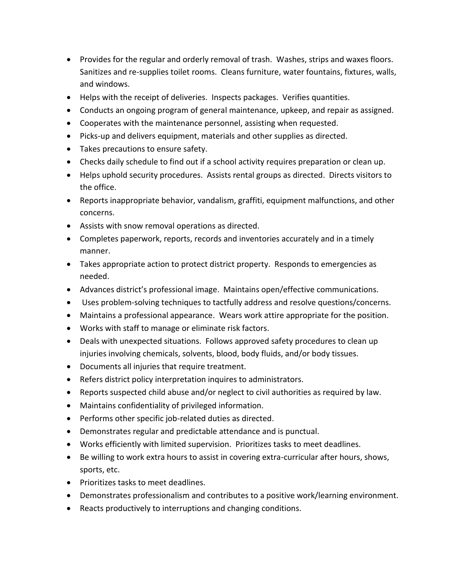- Provides for the regular and orderly removal of trash. Washes, strips and waxes floors. Sanitizes and re-supplies toilet rooms. Cleans furniture, water fountains, fixtures, walls, and windows.
- Helps with the receipt of deliveries. Inspects packages. Verifies quantities.
- Conducts an ongoing program of general maintenance, upkeep, and repair as assigned.
- Cooperates with the maintenance personnel, assisting when requested.
- Picks-up and delivers equipment, materials and other supplies as directed.
- Takes precautions to ensure safety.
- Checks daily schedule to find out if a school activity requires preparation or clean up.
- Helps uphold security procedures. Assists rental groups as directed. Directs visitors to the office.
- Reports inappropriate behavior, vandalism, graffiti, equipment malfunctions, and other concerns.
- Assists with snow removal operations as directed.
- Completes paperwork, reports, records and inventories accurately and in a timely manner.
- Takes appropriate action to protect district property. Responds to emergencies as needed.
- Advances district's professional image. Maintains open/effective communications.
- Uses problem-solving techniques to tactfully address and resolve questions/concerns.
- Maintains a professional appearance. Wears work attire appropriate for the position.
- Works with staff to manage or eliminate risk factors.
- Deals with unexpected situations. Follows approved safety procedures to clean up injuries involving chemicals, solvents, blood, body fluids, and/or body tissues.
- Documents all injuries that require treatment.
- Refers district policy interpretation inquires to administrators.
- Reports suspected child abuse and/or neglect to civil authorities as required by law.
- Maintains confidentiality of privileged information.
- Performs other specific job-related duties as directed.
- Demonstrates regular and predictable attendance and is punctual.
- Works efficiently with limited supervision. Prioritizes tasks to meet deadlines.
- Be willing to work extra hours to assist in covering extra-curricular after hours, shows, sports, etc.
- Prioritizes tasks to meet deadlines.
- Demonstrates professionalism and contributes to a positive work/learning environment.
- Reacts productively to interruptions and changing conditions.